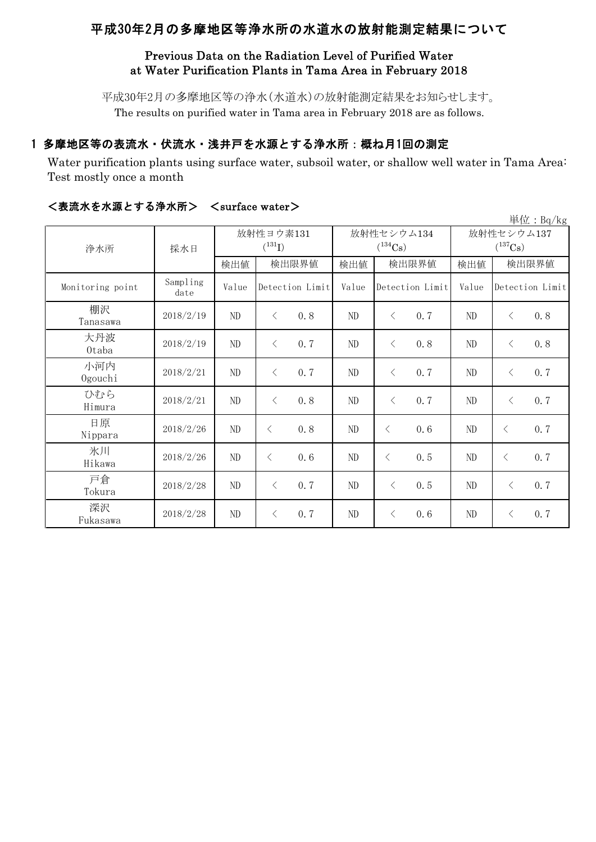# 平成30年2月の多摩地区等浄水所の水道水の放射能測定結果について

## Previous Data on the Radiation Level of Purified Water at Water Purification Plants in Tama Area in February 2018

平成30年2月の多摩地区等の浄水(水道水)の放射能測定結果をお知らせします。 The results on purified water in Tama area in February 2018 are as follows.

## 1 多摩地区等の表流水・伏流水・浅井戸を水源とする浄水所:概ね月1回の測定

Water purification plants using surface water, subsoil water, or shallow well water in Tama Area: Test mostly once a month

|                  |                  |          |                          |       |                            |                            | $\frac{\cancel{\text{H}}\cancel{\text{tr}}}{{\text{H}}}$ : Bq/kg |  |
|------------------|------------------|----------|--------------------------|-------|----------------------------|----------------------------|------------------------------------------------------------------|--|
| 浄水所              | 採水日              |          | 放射性ヨウ素131<br>$(^{131}I)$ |       | 放射性セシウム134<br>$(^{134}Cs)$ | 放射性セシウム137<br>$(^{137}Cs)$ |                                                                  |  |
|                  |                  | 検出値      | 検出限界値                    | 検出値   | 検出限界値                      | 検出値                        | 検出限界値                                                            |  |
| Monitoring point | Sampling<br>date | Value    | Detection Limit          | Value | Detection Limit            | Value                      | Detection Limit                                                  |  |
| 棚沢<br>Tanasawa   | 2018/2/19        | ND       | 0.8<br>$\lt$             | ND    | $\langle$<br>0.7           | ND                         | 0.8<br>$\lt$                                                     |  |
| 大丹波<br>0taba     | 2018/2/19        | ND       | 0.7<br>$\langle$         | ND    | 0.8<br>$\langle$           | ND                         | 0.8<br>$\lt$                                                     |  |
| 小河内<br>Ogouchi   | 2018/2/21        | $\rm ND$ | 0.7<br>$\langle$         | ND    | $\lt$<br>0.7               | ND                         | 0.7<br>$\langle$                                                 |  |
| ひむら<br>Himura    | 2018/2/21        | ND       | 0.8<br>$\lt$             | ND    | $\langle$<br>0.7           | ND                         | 0.7<br>$\lt$                                                     |  |
| 日原<br>Nippara    | 2018/2/26        | ND       | 0.8<br>$\langle$         | ND    | 0.6<br>$\langle$           | ND                         | 0.7<br>$\lt$                                                     |  |
| 氷川<br>Hikawa     | 2018/2/26        | $\rm ND$ | $\langle$<br>0.6         | ND    | $\lt$<br>0.5               | ND                         | 0.7<br>$\lt$                                                     |  |
| 戸倉<br>Tokura     | 2018/2/28        | ND       | 0.7<br>$\langle$         | ND    | 0.5<br>$\langle$           | ND                         | 0, 7<br>$\langle$                                                |  |
| 深沢<br>Fukasawa   | 2018/2/28        | ND       | 0.7<br>$\langle$         | ND    | 0.6<br>$\langle$           | ND                         | 0.7<br>$\langle$                                                 |  |

#### <表流水を水源とする浄水所> <surface water>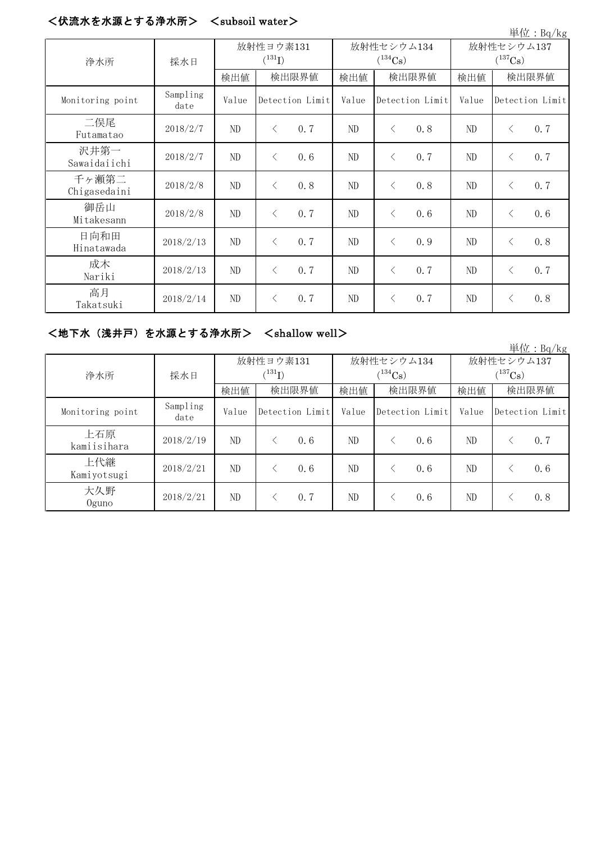## <伏流水を水源とする浄水所> <subsoil water>

|                       |                  |                          |                  |       |                            |                            | 単位: Bq/kg        |  |
|-----------------------|------------------|--------------------------|------------------|-------|----------------------------|----------------------------|------------------|--|
| 浄水所                   | 採水日              | 放射性ヨウ素131<br>$(^{131}I)$ |                  |       | 放射性セシウム134<br>$(^{134}Cs)$ | 放射性セシウム137<br>$(^{137}Cs)$ |                  |  |
|                       |                  | 検出値                      | 検出限界値            | 検出値   | 検出限界値                      | 検出値                        | 検出限界値            |  |
| Monitoring point      | Sampling<br>date | Value                    | Detection Limit  | Value | Detection Limit            | Value                      | Detection Limit  |  |
| 二俣尾<br>Futamatao      | 2018/2/7         | $\rm ND$                 | 0.7<br>$\lt$     | ND    | $\langle$<br>0.8           | ND                         | 0.7<br>$\lt$     |  |
| 沢井第一<br>Sawaidaiichi  | 2018/2/7         | ND                       | 0.6<br>$\langle$ | ND    | 0.7<br>$\lt$               | ND                         | 0.7<br>$\lt$     |  |
| 千ヶ瀬第二<br>Chigasedaini | 2018/2/8         | ND                       | 0.8<br>$\langle$ | ND    | 0.8<br>$\lt$               | ND                         | 0.7<br>$\lt$     |  |
| 御岳山<br>Mitakesann     | 2018/2/8         | ND                       | 0.7<br>$\langle$ | ND    | $\lt$<br>0.6               | ND                         | 0.6<br>$\lt$     |  |
| 日向和田<br>Hinatawada    | 2018/2/13        | ND                       | 0.7<br>$\langle$ | ND    | 0.9<br>$\lt$               | ND                         | 0.8<br>$\lt$     |  |
| 成木<br>Nariki          | 2018/2/13        | ND                       | 0.7<br>$\langle$ | ND    | 0.7<br>$\langle$           | ND                         | 0.7<br>$\langle$ |  |
| 高月<br>Takatsuki       | 2018/2/14        | ND                       | 0.7<br>$\langle$ | ND    | 0.7<br>$\lt$               | ND                         | 0.8<br>$\lt$     |  |

## <地下水(浅井戸)を水源とする浄水所> <shallow well>

|                    |                  |                      |       |                 |              |       |                 |              |       | 単位: $Bq/kg$     |
|--------------------|------------------|----------------------|-------|-----------------|--------------|-------|-----------------|--------------|-------|-----------------|
|                    | 採水日              | 放射性ヨウ素131            |       |                 | 放射性セシウム134   |       |                 | 放射性セシウム137   |       |                 |
| 浄水所                |                  | $(^{131}\mathrm{I})$ |       |                 | $(^{134}Cs)$ |       |                 | $(^{137}Cs)$ |       |                 |
|                    |                  | 検出値                  | 検出限界値 |                 | 検出値          | 検出限界値 |                 | 検出値          | 検出限界値 |                 |
| Monitoring point   | Sampling<br>date | Value                |       | Detection Limit | Value        |       | Detection Limit | Value        |       | Detection Limit |
| 上石原<br>kamiisihara | 2018/2/19        | ND.                  |       | 0.6             | ND.          |       | 0, 6            | ND           |       | 0.7             |
| 上代継<br>Kamiyotsugi | 2018/2/21        | ND                   |       | 0.6             | ND           |       | 0.6             | ND           |       | 0.6             |
| 大久野<br>$0$ guno    | 2018/2/21        | ND                   |       | 0.7             | ND           |       | 0.6             | ND           |       | 0.8             |